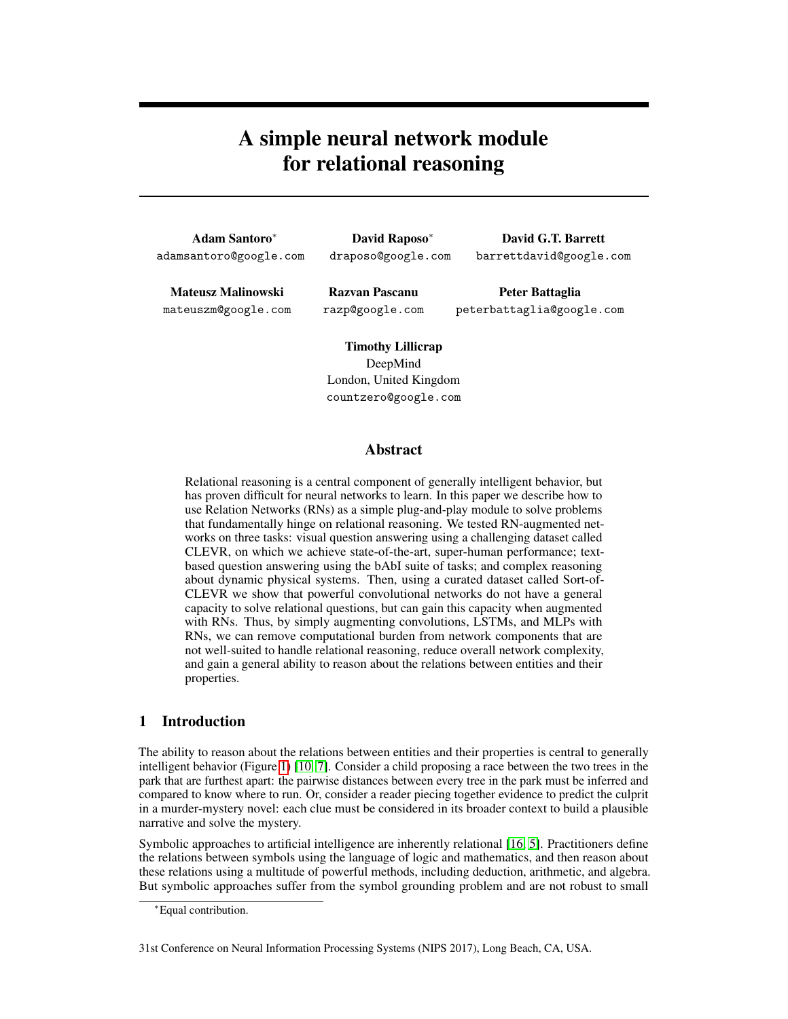# A simple neural network module for relational reasoning

| <b>Adam Santoro*</b>   | <b>David Rapos</b> |  |  |
|------------------------|--------------------|--|--|
| adamsantoro@google.com | draposo@google     |  |  |

so\* e.com

David G.T. Barrett barrettdavid@google.com

Mateusz Malinowski mateuszm@google.com

Razvan Pascanu razp@google.com

Peter Battaglia peterbattaglia@google.com

Timothy Lillicrap DeepMind London, United Kingdom countzero@google.com

# Abstract

Relational reasoning is a central component of generally intelligent behavior, but has proven difficult for neural networks to learn. In this paper we describe how to use Relation Networks (RNs) as a simple plug-and-play module to solve problems that fundamentally hinge on relational reasoning. We tested RN-augmented networks on three tasks: visual question answering using a challenging dataset called CLEVR, on which we achieve state-of-the-art, super-human performance; textbased question answering using the bAbI suite of tasks; and complex reasoning about dynamic physical systems. Then, using a curated dataset called Sort-of-CLEVR we show that powerful convolutional networks do not have a general capacity to solve relational questions, but can gain this capacity when augmented with RNs. Thus, by simply augmenting convolutions, LSTMs, and MLPs with RNs, we can remove computational burden from network components that are not well-suited to handle relational reasoning, reduce overall network complexity, and gain a general ability to reason about the relations between entities and their properties.

# 1 Introduction

The ability to reason about the relations between entities and their properties is central to generally intelligent behavior (Figure 1) [10, 7]. Consider a child proposing a race between the two trees in the park that are furthest apart: the pairwise distances between every tree in the park must be inferred and compared to know where to run. Or, consider a reader piecing together evidence to predict the culprit in a murder-mystery novel: each clue must be considered in its broader context to build a plausible narrative and solve the mystery.

Symbolic approaches to artificial intelligence are inherently relational [16, 5]. Practitioners define the relations between symbols using the language of logic and mathematics, and then reason about these relations using a multitude of powerful methods, including deduction, arithmetic, and algebra. But symbolic approaches suffer from the symbol grounding problem and are not robust to small

<sup>∗</sup>Equal contribution.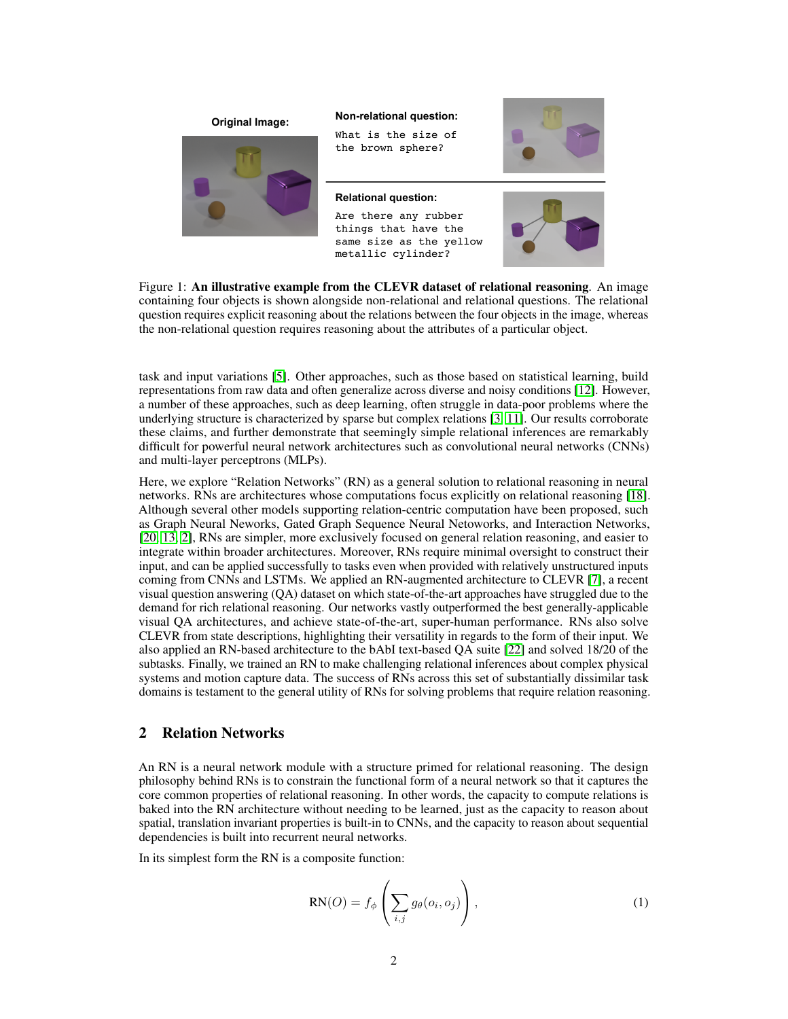

**Non-relational question: Original Image:**

What is the size of the brown sphere?

#### **Relational question:**

Are there any rubber things that have the same size as the yellow metallic cylinder?





Figure 1: An illustrative example from the CLEVR dataset of relational reasoning. An image containing four objects is shown alongside non-relational and relational questions. The relational question requires explicit reasoning about the relations between the four objects in the image, whereas the non-relational question requires reasoning about the attributes of a particular object.

task and input variations [5]. Other approaches, such as those based on statistical learning, build representations from raw data and often generalize across diverse and noisy conditions [12]. However, a number of these approaches, such as deep learning, often struggle in data-poor problems where the underlying structure is characterized by sparse but complex relations [3, 11]. Our results corroborate these claims, and further demonstrate that seemingly simple relational inferences are remarkably difficult for powerful neural network architectures such as convolutional neural networks (CNNs) and multi-layer perceptrons (MLPs).

Here, we explore "Relation Networks" (RN) as a general solution to relational reasoning in neural networks. RNs are architectures whose computations focus explicitly on relational reasoning [18]. Although several other models supporting relation-centric computation have been proposed, such as Graph Neural Neworks, Gated Graph Sequence Neural Netoworks, and Interaction Networks, [20, 13, 2], RNs are simpler, more exclusively focused on general relation reasoning, and easier to integrate within broader architectures. Moreover, RNs require minimal oversight to construct their input, and can be applied successfully to tasks even when provided with relatively unstructured inputs coming from CNNs and LSTMs. We applied an RN-augmented architecture to CLEVR [7], a recent visual question answering (QA) dataset on which state-of-the-art approaches have struggled due to the demand for rich relational reasoning. Our networks vastly outperformed the best generally-applicable visual QA architectures, and achieve state-of-the-art, super-human performance. RNs also solve CLEVR from state descriptions, highlighting their versatility in regards to the form of their input. We also applied an RN-based architecture to the bAbI text-based QA suite [22] and solved 18/20 of the subtasks. Finally, we trained an RN to make challenging relational inferences about complex physical systems and motion capture data. The success of RNs across this set of substantially dissimilar task domains is testament to the general utility of RNs for solving problems that require relation reasoning.

# 2 Relation Networks

An RN is a neural network module with a structure primed for relational reasoning. The design philosophy behind RNs is to constrain the functional form of a neural network so that it captures the core common properties of relational reasoning. In other words, the capacity to compute relations is baked into the RN architecture without needing to be learned, just as the capacity to reason about spatial, translation invariant properties is built-in to CNNs, and the capacity to reason about sequential dependencies is built into recurrent neural networks.

In its simplest form the RN is a composite function:

$$
RN(O) = f_{\phi} \left( \sum_{i,j} g_{\theta}(o_i, o_j) \right), \qquad (1)
$$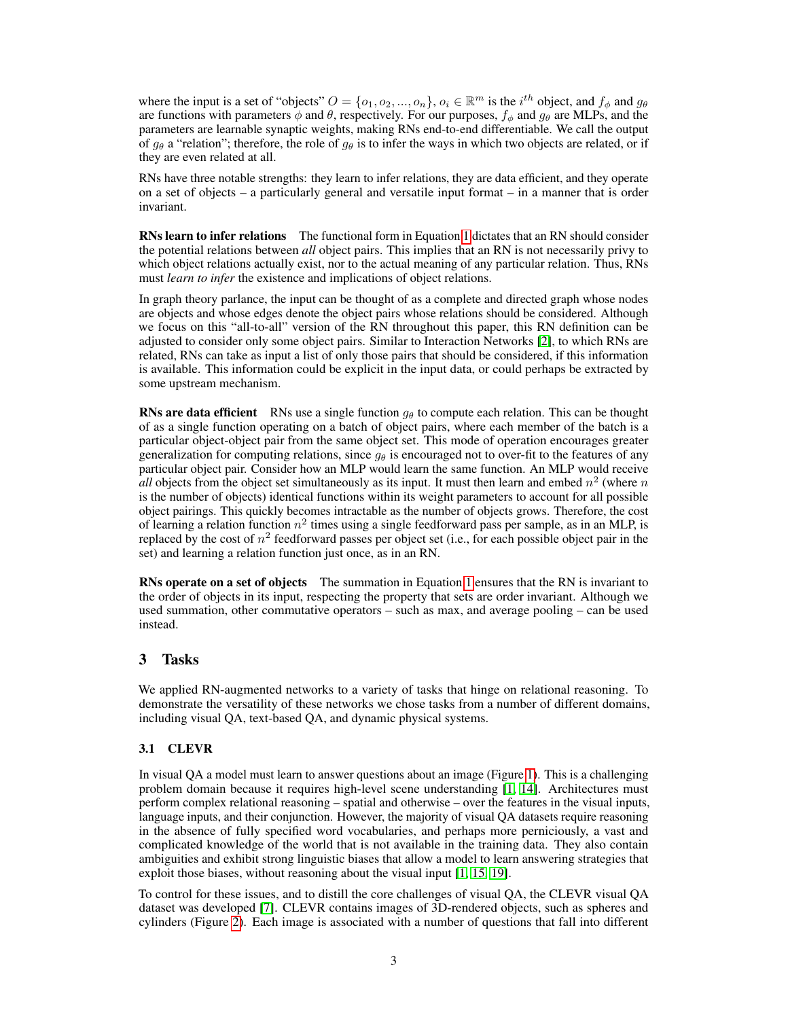where the input is a set of "objects"  $O = \{o_1, o_2, ..., o_n\}$ ,  $o_i \in \mathbb{R}^m$  is the  $i^{th}$  object, and  $f_\phi$  and  $g_\theta$ are functions with parameters  $\phi$  and  $\theta$ , respectively. For our purposes,  $f_{\phi}$  and  $g_{\theta}$  are MLPs, and the parameters are learnable synaptic weights, making RNs end-to-end differentiable. We call the output of  $g_{\theta}$  a "relation"; therefore, the role of  $g_{\theta}$  is to infer the ways in which two objects are related, or if they are even related at all.

RNs have three notable strengths: they learn to infer relations, they are data efficient, and they operate on a set of objects – a particularly general and versatile input format – in a manner that is order invariant.

**RNs learn to infer relations** The functional form in Equation 1 dictates that an RN should consider the potential relations between *all* object pairs. This implies that an RN is not necessarily privy to which object relations actually exist, nor to the actual meaning of any particular relation. Thus, RNs must *learn to infer* the existence and implications of object relations.

In graph theory parlance, the input can be thought of as a complete and directed graph whose nodes are objects and whose edges denote the object pairs whose relations should be considered. Although we focus on this "all-to-all" version of the RN throughout this paper, this RN definition can be adjusted to consider only some object pairs. Similar to Interaction Networks [2], to which RNs are related, RNs can take as input a list of only those pairs that should be considered, if this information is available. This information could be explicit in the input data, or could perhaps be extracted by some upstream mechanism.

**RNs are data efficient** RNs use a single function  $g_{\theta}$  to compute each relation. This can be thought of as a single function operating on a batch of object pairs, where each member of the batch is a particular object-object pair from the same object set. This mode of operation encourages greater generalization for computing relations, since  $g_{\theta}$  is encouraged not to over-fit to the features of any particular object pair. Consider how an MLP would learn the same function. An MLP would receive *all* objects from the object set simultaneously as its input. It must then learn and embed  $n^2$  (where n is the number of objects) identical functions within its weight parameters to account for all possible object pairings. This quickly becomes intractable as the number of objects grows. Therefore, the cost of learning a relation function  $n^2$  times using a single feedforward pass per sample, as in an MLP, is replaced by the cost of  $n^2$  feedforward passes per object set (i.e., for each possible object pair in the set) and learning a relation function just once, as in an RN.

**RNs operate on a set of objects** The summation in Equation 1 ensures that the RN is invariant to the order of objects in its input, respecting the property that sets are order invariant. Although we used summation, other commutative operators – such as max, and average pooling – can be used instead.

# 3 Tasks

We applied RN-augmented networks to a variety of tasks that hinge on relational reasoning. To demonstrate the versatility of these networks we chose tasks from a number of different domains, including visual QA, text-based QA, and dynamic physical systems.

# 3.1 CLEVR

In visual QA a model must learn to answer questions about an image (Figure 1). This is a challenging problem domain because it requires high-level scene understanding [1, 14]. Architectures must perform complex relational reasoning – spatial and otherwise – over the features in the visual inputs, language inputs, and their conjunction. However, the majority of visual QA datasets require reasoning in the absence of fully specified word vocabularies, and perhaps more perniciously, a vast and complicated knowledge of the world that is not available in the training data. They also contain ambiguities and exhibit strong linguistic biases that allow a model to learn answering strategies that exploit those biases, without reasoning about the visual input [1, 15, 19].

To control for these issues, and to distill the core challenges of visual QA, the CLEVR visual QA dataset was developed [7]. CLEVR contains images of 3D-rendered objects, such as spheres and cylinders (Figure 2). Each image is associated with a number of questions that fall into different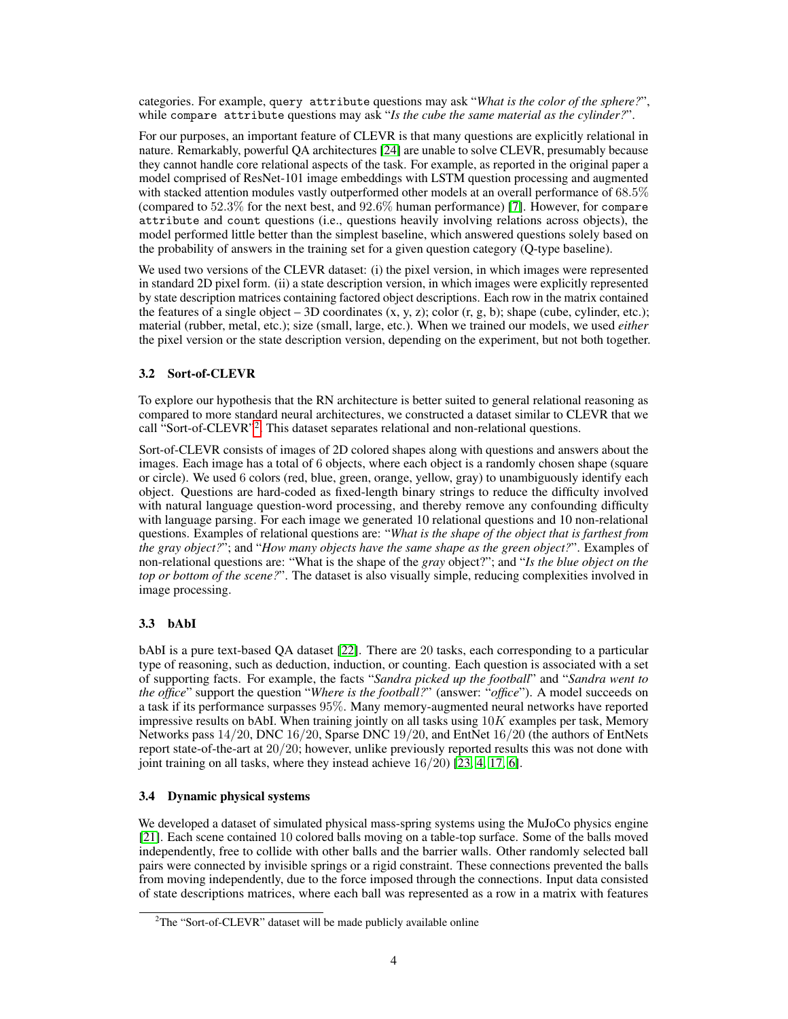categories. For example, query attribute questions may ask "*What is the color of the sphere?*", while compare attribute questions may ask "*Is the cube the same material as the cylinder?*".

For our purposes, an important feature of CLEVR is that many questions are explicitly relational in nature. Remarkably, powerful QA architectures [24] are unable to solve CLEVR, presumably because they cannot handle core relational aspects of the task. For example, as reported in the original paper a model comprised of ResNet-101 image embeddings with LSTM question processing and augmented with stacked attention modules vastly outperformed other models at an overall performance of 68.5% (compared to 52.3% for the next best, and 92.6% human performance) [7]. However, for compare attribute and count questions (i.e., questions heavily involving relations across objects), the model performed little better than the simplest baseline, which answered questions solely based on the probability of answers in the training set for a given question category (Q-type baseline).

We used two versions of the CLEVR dataset: (i) the pixel version, in which images were represented in standard 2D pixel form. (ii) a state description version, in which images were explicitly represented by state description matrices containing factored object descriptions. Each row in the matrix contained the features of a single object – 3D coordinates  $(x, y, z)$ ; color  $(r, g, b)$ ; shape (cube, cylinder, etc.); material (rubber, metal, etc.); size (small, large, etc.). When we trained our models, we used *either* the pixel version or the state description version, depending on the experiment, but not both together.

# 3.2 Sort-of-CLEVR

To explore our hypothesis that the RN architecture is better suited to general relational reasoning as compared to more standard neural architectures, we constructed a dataset similar to CLEVR that we call "Sort-of-CLEVR"<sup>2</sup>. This dataset separates relational and non-relational questions.

Sort-of-CLEVR consists of images of 2D colored shapes along with questions and answers about the images. Each image has a total of 6 objects, where each object is a randomly chosen shape (square or circle). We used 6 colors (red, blue, green, orange, yellow, gray) to unambiguously identify each object. Questions are hard-coded as fixed-length binary strings to reduce the difficulty involved with natural language question-word processing, and thereby remove any confounding difficulty with language parsing. For each image we generated 10 relational questions and 10 non-relational questions. Examples of relational questions are: "*What is the shape of the object that is farthest from the gray object?*"; and "*How many objects have the same shape as the green object?*". Examples of non-relational questions are: "What is the shape of the *gray* object?"; and "*Is the blue object on the top or bottom of the scene?*". The dataset is also visually simple, reducing complexities involved in image processing.

# 3.3 bAbI

bAbI is a pure text-based QA dataset [22]. There are 20 tasks, each corresponding to a particular type of reasoning, such as deduction, induction, or counting. Each question is associated with a set of supporting facts. For example, the facts "*Sandra picked up the football*" and "*Sandra went to the office*" support the question "*Where is the football?*" (answer: "*office*"). A model succeeds on a task if its performance surpasses 95%. Many memory-augmented neural networks have reported impressive results on bAbI. When training jointly on all tasks using  $10K$  examples per task, Memory Networks pass 14/20, DNC 16/20, Sparse DNC 19/20, and EntNet 16/20 (the authors of EntNets report state-of-the-art at 20/20; however, unlike previously reported results this was not done with joint training on all tasks, where they instead achieve 16/20) [23, 4, 17, 6].

# 3.4 Dynamic physical systems

We developed a dataset of simulated physical mass-spring systems using the MuJoCo physics engine [21]. Each scene contained 10 colored balls moving on a table-top surface. Some of the balls moved independently, free to collide with other balls and the barrier walls. Other randomly selected ball pairs were connected by invisible springs or a rigid constraint. These connections prevented the balls from moving independently, due to the force imposed through the connections. Input data consisted of state descriptions matrices, where each ball was represented as a row in a matrix with features

<sup>&</sup>lt;sup>2</sup>The "Sort-of-CLEVR" dataset will be made publicly available online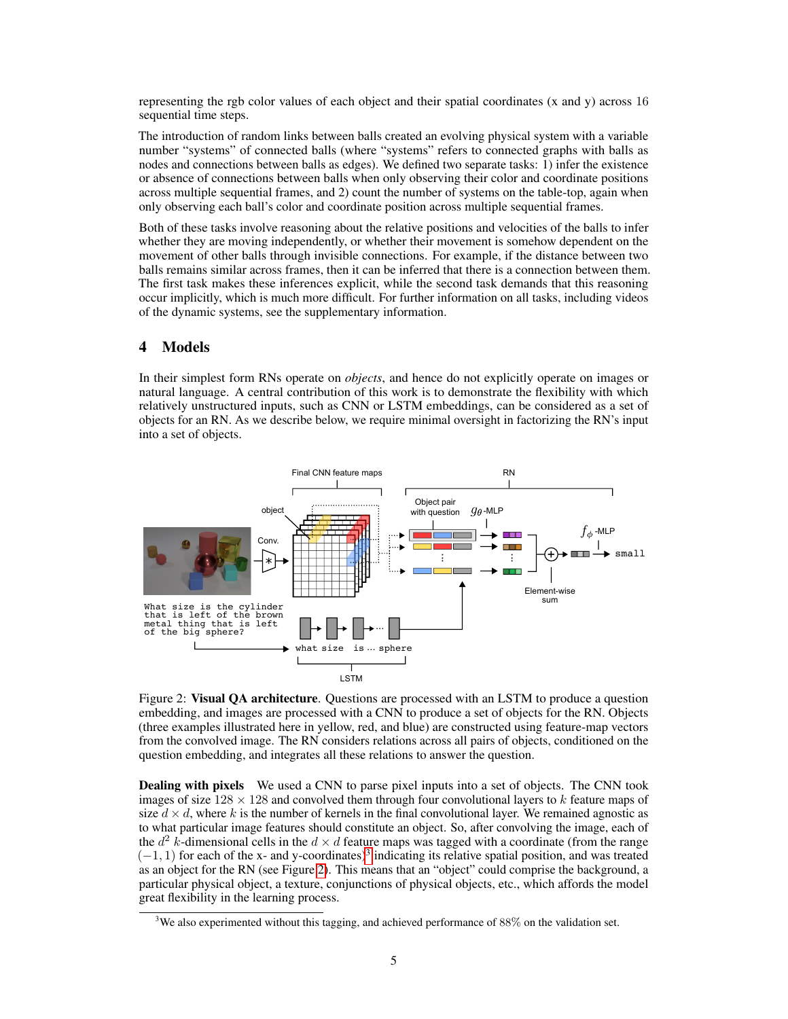representing the rgb color values of each object and their spatial coordinates (x and y) across 16 sequential time steps.

The introduction of random links between balls created an evolving physical system with a variable number "systems" of connected balls (where "systems" refers to connected graphs with balls as nodes and connections between balls as edges). We defined two separate tasks: 1) infer the existence or absence of connections between balls when only observing their color and coordinate positions across multiple sequential frames, and 2) count the number of systems on the table-top, again when only observing each ball's color and coordinate position across multiple sequential frames.

Both of these tasks involve reasoning about the relative positions and velocities of the balls to infer whether they are moving independently, or whether their movement is somehow dependent on the movement of other balls through invisible connections. For example, if the distance between two balls remains similar across frames, then it can be inferred that there is a connection between them. The first task makes these inferences explicit, while the second task demands that this reasoning occur implicitly, which is much more difficult. For further information on all tasks, including videos of the dynamic systems, see the supplementary information.

# 4 Models

In their simplest form RNs operate on *objects*, and hence do not explicitly operate on images or natural language. A central contribution of this work is to demonstrate the flexibility with which relatively unstructured inputs, such as CNN or LSTM embeddings, can be considered as a set of objects for an RN. As we describe below, we require minimal oversight in factorizing the RN's input into a set of objects.



Figure 2: Visual QA architecture. Questions are processed with an LSTM to produce a question embedding, and images are processed with a CNN to produce a set of objects for the RN. Objects (three examples illustrated here in yellow, red, and blue) are constructed using feature-map vectors from the convolved image. The RN considers relations across all pairs of objects, conditioned on the question embedding, and integrates all these relations to answer the question.

Dealing with pixels We used a CNN to parse pixel inputs into a set of objects. The CNN took images of size  $128 \times 128$  and convolved them through four convolutional layers to k feature maps of size  $d \times d$ , where k is the number of kernels in the final convolutional layer. We remained agnostic as to what particular image features should constitute an object. So, after convolving the image, each of the  $d^2$  k-dimensional cells in the  $d \times d$  feature maps was tagged with a coordinate (from the range  $(-1, 1)$  for each of the x- and y-coordinates)<sup>3</sup> indicating its relative spatial position, and was treated as an object for the RN (see Figure 2). This means that an "object" could comprise the background, a particular physical object, a texture, conjunctions of physical objects, etc., which affords the model great flexibility in the learning process.

<sup>&</sup>lt;sup>3</sup>We also experimented without this tagging, and achieved performance of  $88\%$  on the validation set.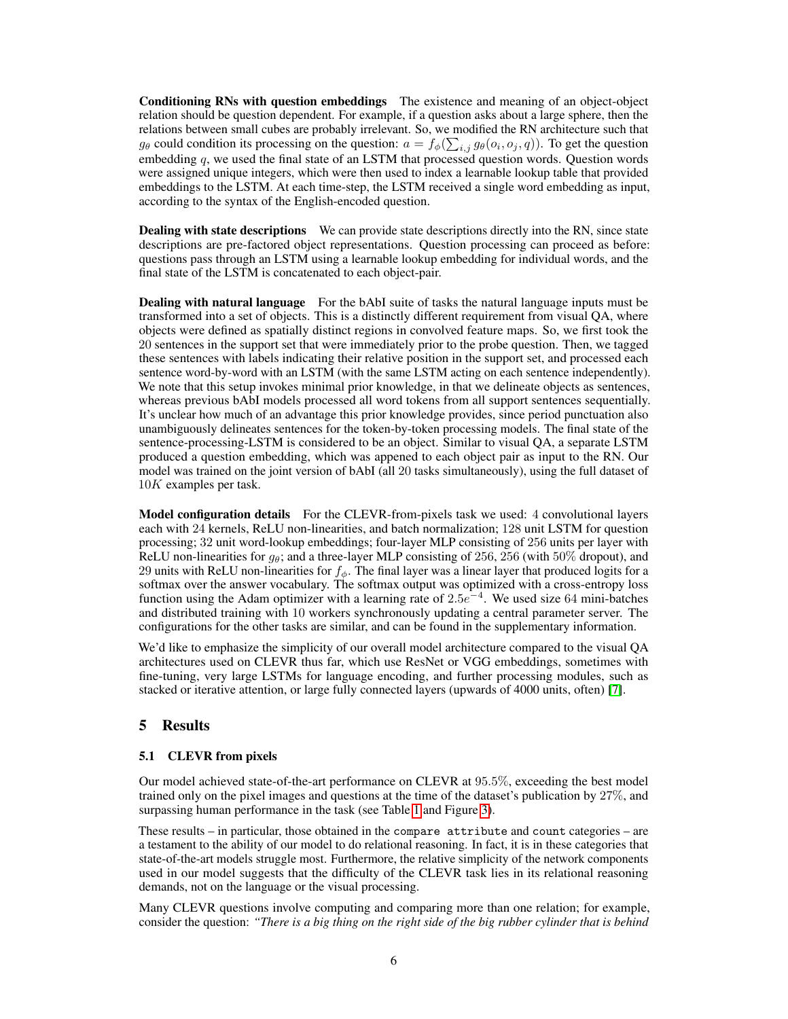Conditioning RNs with question embeddings The existence and meaning of an object-object relation should be question dependent. For example, if a question asks about a large sphere, then the relations between small cubes are probably irrelevant. So, we modified the RN architecture such that  $g_{\theta}$  could condition its processing on the question:  $a = f_{\phi}(\sum_{i,j} g_{\theta}(o_i, o_j, q))$ . To get the question embedding  $q$ , we used the final state of an LSTM that processed question words. Question words were assigned unique integers, which were then used to index a learnable lookup table that provided embeddings to the LSTM. At each time-step, the LSTM received a single word embedding as input, according to the syntax of the English-encoded question.

**Dealing with state descriptions** We can provide state descriptions directly into the RN, since state descriptions are pre-factored object representations. Question processing can proceed as before: questions pass through an LSTM using a learnable lookup embedding for individual words, and the final state of the LSTM is concatenated to each object-pair.

Dealing with natural language For the bAbI suite of tasks the natural language inputs must be transformed into a set of objects. This is a distinctly different requirement from visual QA, where objects were defined as spatially distinct regions in convolved feature maps. So, we first took the 20 sentences in the support set that were immediately prior to the probe question. Then, we tagged these sentences with labels indicating their relative position in the support set, and processed each sentence word-by-word with an LSTM (with the same LSTM acting on each sentence independently). We note that this setup invokes minimal prior knowledge, in that we delineate objects as sentences, whereas previous bAbI models processed all word tokens from all support sentences sequentially. It's unclear how much of an advantage this prior knowledge provides, since period punctuation also unambiguously delineates sentences for the token-by-token processing models. The final state of the sentence-processing-LSTM is considered to be an object. Similar to visual QA, a separate LSTM produced a question embedding, which was appened to each object pair as input to the RN. Our model was trained on the joint version of bAbI (all 20 tasks simultaneously), using the full dataset of 10K examples per task.

Model configuration details For the CLEVR-from-pixels task we used: 4 convolutional layers each with 24 kernels, ReLU non-linearities, and batch normalization; 128 unit LSTM for question processing; 32 unit word-lookup embeddings; four-layer MLP consisting of 256 units per layer with ReLU non-linearities for  $g_{\theta}$ ; and a three-layer MLP consisting of 256, 256 (with 50% dropout), and 29 units with ReLU non-linearities for  $f_{\phi}$ . The final layer was a linear layer that produced logits for a softmax over the answer vocabulary. The softmax output was optimized with a cross-entropy loss function using the Adam optimizer with a learning rate of  $2.5e^{-4}$ . We used size 64 mini-batches and distributed training with 10 workers synchronously updating a central parameter server. The configurations for the other tasks are similar, and can be found in the supplementary information.

We'd like to emphasize the simplicity of our overall model architecture compared to the visual QA architectures used on CLEVR thus far, which use ResNet or VGG embeddings, sometimes with fine-tuning, very large LSTMs for language encoding, and further processing modules, such as stacked or iterative attention, or large fully connected layers (upwards of 4000 units, often) [7].

# 5 Results

# 5.1 CLEVR from pixels

Our model achieved state-of-the-art performance on CLEVR at 95.5%, exceeding the best model trained only on the pixel images and questions at the time of the dataset's publication by 27%, and surpassing human performance in the task (see Table 1 and Figure 3).

These results – in particular, those obtained in the compare attribute and count categories – are a testament to the ability of our model to do relational reasoning. In fact, it is in these categories that state-of-the-art models struggle most. Furthermore, the relative simplicity of the network components used in our model suggests that the difficulty of the CLEVR task lies in its relational reasoning demands, not on the language or the visual processing.

Many CLEVR questions involve computing and comparing more than one relation; for example, consider the question: *"There is a big thing on the right side of the big rubber cylinder that is behind*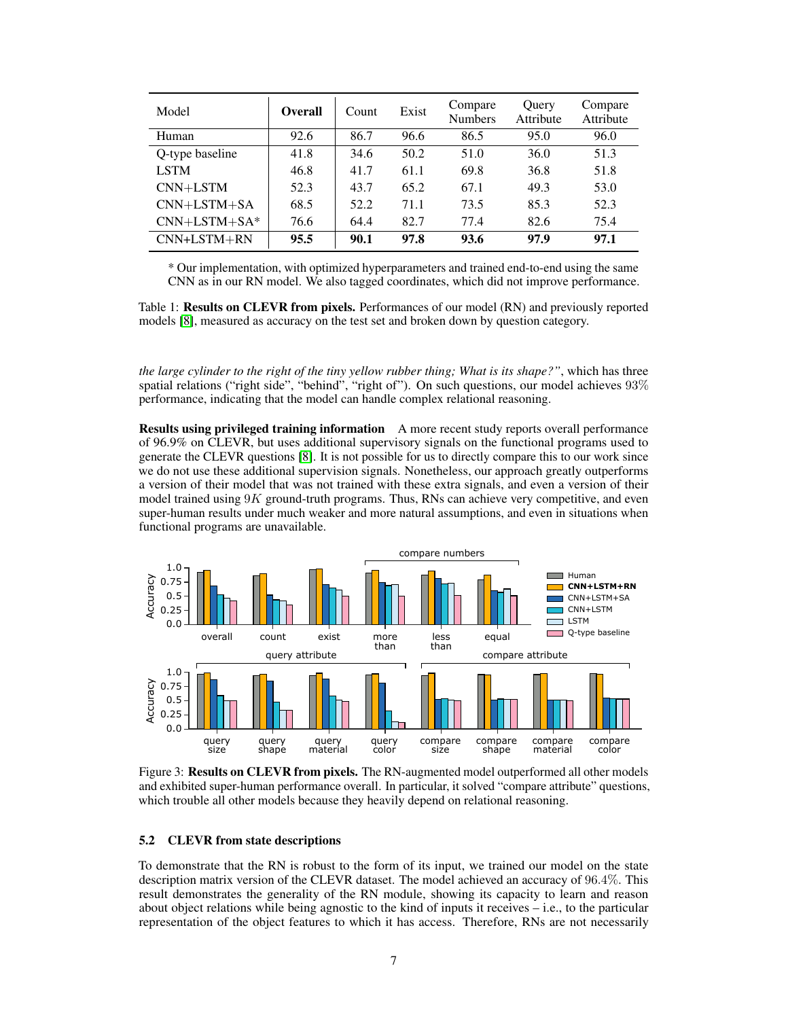| Model           | <b>Overall</b> | Count | Exist | Compare<br><b>Numbers</b> | Query<br>Attribute | Compare<br>Attribute |
|-----------------|----------------|-------|-------|---------------------------|--------------------|----------------------|
| Human           | 92.6           | 86.7  | 96.6  | 86.5                      | 95.0               | 96.0                 |
| Q-type baseline | 41.8           | 34.6  | 50.2  | 51.0                      | 36.0               | 51.3                 |
| <b>LSTM</b>     | 46.8           | 41.7  | 61.1  | 69.8                      | 36.8               | 51.8                 |
| CNN+LSTM        | 52.3           | 43.7  | 65.2  | 67.1                      | 49.3               | 53.0                 |
| $CNN+LSTM+SA$   | 68.5           | 52.2  | 71.1  | 73.5                      | 85.3               | 52.3                 |
| $CNN+LSTM+SA*$  | 76.6           | 64.4  | 82.7  | 77.4                      | 82.6               | 75.4                 |
| $CNN+LSTM+RN$   | 95.5           | 90.1  | 97.8  | 93.6                      | 97.9               | 97.1                 |

\* Our implementation, with optimized hyperparameters and trained end-to-end using the same CNN as in our RN model. We also tagged coordinates, which did not improve performance.

Table 1: **Results on CLEVR from pixels.** Performances of our model (RN) and previously reported models [8], measured as accuracy on the test set and broken down by question category.

*the large cylinder to the right of the tiny yellow rubber thing; What is its shape?"*, which has three spatial relations ("right side", "behind", "right of"). On such questions, our model achieves 93% performance, indicating that the model can handle complex relational reasoning.

Results using privileged training information A more recent study reports overall performance of 96.9% on CLEVR, but uses additional supervisory signals on the functional programs used to generate the CLEVR questions [8]. It is not possible for us to directly compare this to our work since we do not use these additional supervision signals. Nonetheless, our approach greatly outperforms a version of their model that was not trained with these extra signals, and even a version of their model trained using  $9K$  ground-truth programs. Thus, RNs can achieve very competitive, and even super-human results under much weaker and more natural assumptions, and even in situations when functional programs are unavailable.



Figure 3: Results on CLEVR from pixels. The RN-augmented model outperformed all other models and exhibited super-human performance overall. In particular, it solved "compare attribute" questions, which trouble all other models because they heavily depend on relational reasoning.

#### 5.2 CLEVR from state descriptions

To demonstrate that the RN is robust to the form of its input, we trained our model on the state description matrix version of the CLEVR dataset. The model achieved an accuracy of 96.4%. This result demonstrates the generality of the RN module, showing its capacity to learn and reason about object relations while being agnostic to the kind of inputs it receives  $-$  i.e., to the particular representation of the object features to which it has access. Therefore, RNs are not necessarily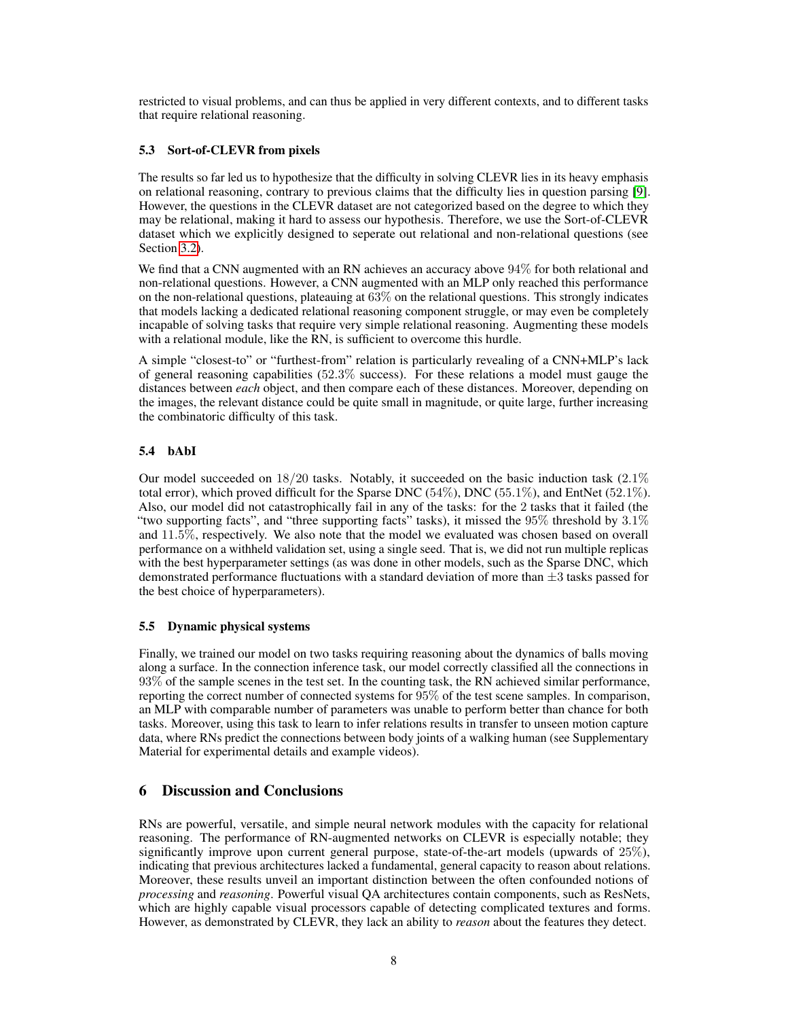restricted to visual problems, and can thus be applied in very different contexts, and to different tasks that require relational reasoning.

# 5.3 Sort-of-CLEVR from pixels

The results so far led us to hypothesize that the difficulty in solving CLEVR lies in its heavy emphasis on relational reasoning, contrary to previous claims that the difficulty lies in question parsing [9]. However, the questions in the CLEVR dataset are not categorized based on the degree to which they may be relational, making it hard to assess our hypothesis. Therefore, we use the Sort-of-CLEVR dataset which we explicitly designed to seperate out relational and non-relational questions (see Section 3.2).

We find that a CNN augmented with an RN achieves an accuracy above 94% for both relational and non-relational questions. However, a CNN augmented with an MLP only reached this performance on the non-relational questions, plateauing at 63% on the relational questions. This strongly indicates that models lacking a dedicated relational reasoning component struggle, or may even be completely incapable of solving tasks that require very simple relational reasoning. Augmenting these models with a relational module, like the RN, is sufficient to overcome this hurdle.

A simple "closest-to" or "furthest-from" relation is particularly revealing of a CNN+MLP's lack of general reasoning capabilities (52.3% success). For these relations a model must gauge the distances between *each* object, and then compare each of these distances. Moreover, depending on the images, the relevant distance could be quite small in magnitude, or quite large, further increasing the combinatoric difficulty of this task.

# 5.4 bAbI

Our model succeeded on  $18/20$  tasks. Notably, it succeeded on the basic induction task  $(2.1\%$ total error), which proved difficult for the Sparse DNC  $(54\%)$ , DNC  $(55.1\%)$ , and EntNet  $(52.1\%)$ . Also, our model did not catastrophically fail in any of the tasks: for the 2 tasks that it failed (the "two supporting facts", and "three supporting facts" tasks), it missed the 95% threshold by 3.1% and 11.5%, respectively. We also note that the model we evaluated was chosen based on overall performance on a withheld validation set, using a single seed. That is, we did not run multiple replicas with the best hyperparameter settings (as was done in other models, such as the Sparse DNC, which demonstrated performance fluctuations with a standard deviation of more than  $\pm 3$  tasks passed for the best choice of hyperparameters).

# 5.5 Dynamic physical systems

Finally, we trained our model on two tasks requiring reasoning about the dynamics of balls moving along a surface. In the connection inference task, our model correctly classified all the connections in 93% of the sample scenes in the test set. In the counting task, the RN achieved similar performance, reporting the correct number of connected systems for 95% of the test scene samples. In comparison, an MLP with comparable number of parameters was unable to perform better than chance for both tasks. Moreover, using this task to learn to infer relations results in transfer to unseen motion capture data, where RNs predict the connections between body joints of a walking human (see Supplementary Material for experimental details and example videos).

# 6 Discussion and Conclusions

RNs are powerful, versatile, and simple neural network modules with the capacity for relational reasoning. The performance of RN-augmented networks on CLEVR is especially notable; they significantly improve upon current general purpose, state-of-the-art models (upwards of 25%), indicating that previous architectures lacked a fundamental, general capacity to reason about relations. Moreover, these results unveil an important distinction between the often confounded notions of *processing* and *reasoning*. Powerful visual QA architectures contain components, such as ResNets, which are highly capable visual processors capable of detecting complicated textures and forms. However, as demonstrated by CLEVR, they lack an ability to *reason* about the features they detect.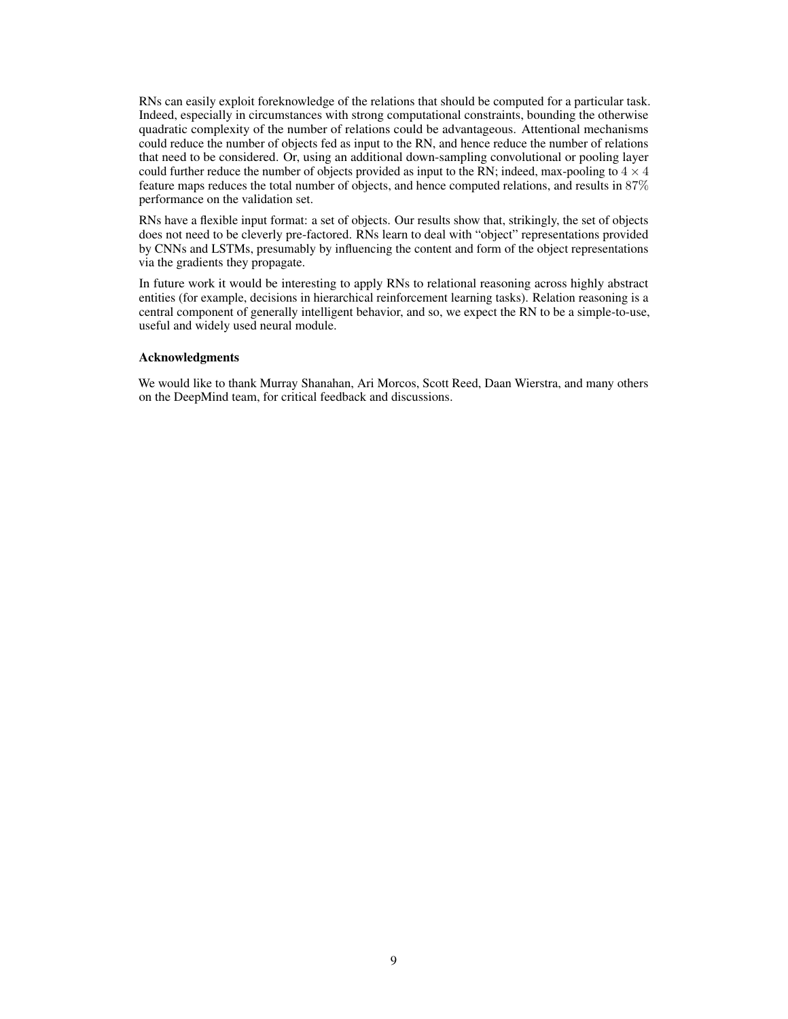RNs can easily exploit foreknowledge of the relations that should be computed for a particular task. Indeed, especially in circumstances with strong computational constraints, bounding the otherwise quadratic complexity of the number of relations could be advantageous. Attentional mechanisms could reduce the number of objects fed as input to the RN, and hence reduce the number of relations that need to be considered. Or, using an additional down-sampling convolutional or pooling layer could further reduce the number of objects provided as input to the RN; indeed, max-pooling to  $4 \times 4$ feature maps reduces the total number of objects, and hence computed relations, and results in 87% performance on the validation set.

RNs have a flexible input format: a set of objects. Our results show that, strikingly, the set of objects does not need to be cleverly pre-factored. RNs learn to deal with "object" representations provided by CNNs and LSTMs, presumably by influencing the content and form of the object representations via the gradients they propagate.

In future work it would be interesting to apply RNs to relational reasoning across highly abstract entities (for example, decisions in hierarchical reinforcement learning tasks). Relation reasoning is a central component of generally intelligent behavior, and so, we expect the RN to be a simple-to-use, useful and widely used neural module.

# Acknowledgments

We would like to thank Murray Shanahan, Ari Morcos, Scott Reed, Daan Wierstra, and many others on the DeepMind team, for critical feedback and discussions.